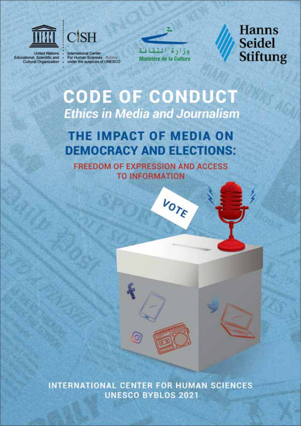



**United Nations** Educational, Scientific and<br>Cultural Organization

International Center<br>For Human Sciences - Bylikes<br>under the auspices of UNESCO



**Hanns Seidel Stiftung** 

# **CODE OF CONDUCT Ethics in Media and Journalism**

# THE IMPACT OF MEDIA ON **DEMOCRACY AND ELECTIONS:**

**FREEDOM OF EXPRESSION AND ACCESS TO INFORMATION** 

VOTE



INTERNATIONAL CENTER FOR HUMAN SCIENCES **UNESCO BYBLOS 2021**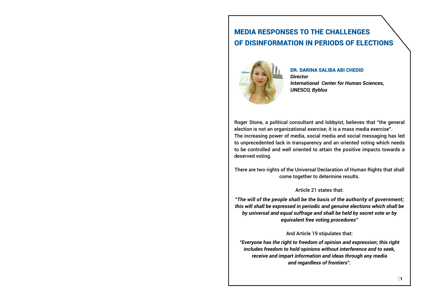Roger Stone, a political consultant and lobbyist, believes that "the general election is not an organizational exercise; it is a mass media exercise". The increasing power of media, social media and social messaging has led to unprecedented lack in transparency and an oriented voting which needs to be controlled and well oriented to attain the positive impacts towards a deserved voting.

There are two rights of the Universal Declaration of Human Rights that shall come together to determine results.

Article 21 states that:

*"The will of the people shall be the basis of the authority of government; this will shall be expressed in periodic and genuine elections which shall be by universal and equal suffrage and shall be held by secret vote or by equivalent free voting procedures"*

## And Article 19 stipulates that:

*"Everyone has the right to freedom of opinion and expression; this right includes freedom to hold opinions without interference and to seek, receive and impart information and ideas through any media and regardless of frontiers".*

# MEDIA RESPONSES TO THE CHALLENGES OF DISINFORMATION IN PERIODS OF ELECTIONS



## DR. DARINA SALIBA ABI CHEDID

*International Center for Human Sciences,*

*Director UNESCO, Byblos*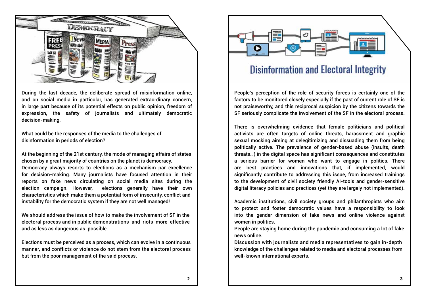

During the last decade, the deliberate spread of misinformation online, and on social media in particular, has generated extraordinary concern, in large part because of its potential effects on public opinion, freedom of expression, the safety of journalists and ultimately democratic decision-making.

What could be the responses of the media to the challenges of disinformation in periods of election?

At the beginning of the 21st century, the mode of managing affairs of states chosen by a great majority of countries on the planet is democracy.

Democracy always resorts to elections as a mechanism par excellence for decision-making. Many journalists have focused attention in their reports on fake news circulating on social media sites during the election campaign. However, elections generally have their own characteristics which make them a potential form of insecurity, conflict and instability for the democratic system if they are not well managed!

We should address the issue of how to make the involvement of SF in the electoral process and in public demonstrations and riots more effective and as less as dangerous as possible.

Elections must be perceived as a process, which can evolve in a continuous manner, and conflicts or violence do not stem from the electoral process but from the poor management of the said process.

# **Disinformation and Electoral Integrity**

Discussion with journalists and media representatives to gain in-depth knowledge of the challenges related to media and electoral processes from well-known international experts.



People's perception of the role of security forces is certainly one of the factors to be monitored closely especially if the past of current role of SF is not praiseworthy, and this reciprocal suspicion by the citizens towards the SF seriously complicate the involvement of the SF in the electoral process.

There is overwhelming evidence that female politicians and political activists are often targets of online threats, harassment and graphic sexual mocking aiming at delegitimizing and dissuading them from being politically active. The prevalence of gender-based abuse (insults, death threats…) in the digital space has significant consequences and constitutes a serious barrier for women who want to engage in politics. There are best practices and innovations that, if implemented, would significantly contribute to addressing this issue, from increased trainings to the development of civil society friendly AI-tools and gender-sensitive digital literacy policies and practices (yet they are largely not implemented).

Academic institutions, civil society groups and philanthropists who aim to protect and foster democratic values have a responsibility to look into the gender dimension of fake news and online violence against women in politics.

People are staying home during the pandemic and consuming a lot of fake news online.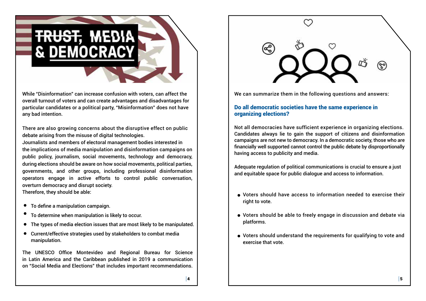While "Disinformation" can increase confusion with voters, can affect the overall turnout of voters and can create advantages and disadvantages for particular candidates or a political party, "Misinformation" does not have any bad intention.

There are also growing concerns about the disruptive effect on public debate arising from the misuse of digital technologies.

Journalists and members of electoral management bodies interested in the implications of media manipulation and disinformation campaigns on public policy, journalism, social movements, technology and democracy, during elections should be aware on how social movements, political parties, governments, and other groups, including professional disinformation operators engage in active efforts to control public conversation, overturn democracy and disrupt society.

Therefore, they should be able:

The UNESCO Office Montevideo and Regional Bureau for Science in Latin America and the Caribbean published in 2019 a communication on "Social Media and Elections" that includes important recommendations.



- To define a manipulation campaign.
- To determine when manipulation is likely to occur.
- The types of media election issues that are most likely to be manipulated.  $\bullet$
- Current/effective strategies used by stakeholders to combat media manipulation.

We can summarize them in the following questions and answers:

# Do all democratic societies have the same experience in organizing elections?

Not all democracies have sufficient experience in organizing elections. Candidates always lie to gain the support of citizens and disinformation campaigns are not new to democracy. In a democratic society, those who are financially well supported cannot control the public debate by disproportionally having access to publicity and media.

Adequate regulation of political communications is crucial to ensure a just and equitable space for public dialogue and access to information.

- Voters should have access to information needed to exercise their right to vote.
- Voters should be able to freely engage in discussion and debate via platforms.
- Voters should understand the requirements for qualifying to vote and exercise that vote.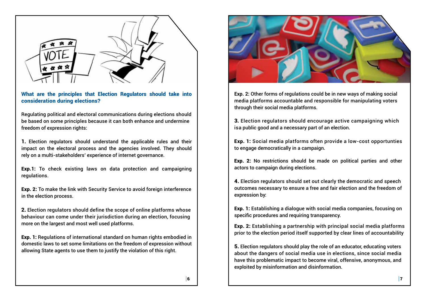

What are the principles that Election Regulators should take into consideration during elections?

Regulating political and electoral communications during elections should be based on some principles because it can both enhance and undermine freedom of expression rights:

1. Election regulators should understand the applicable rules and their impact on the electoral process and the agencies involved. They should rely on a multi-stakeholders' experience of internet governance.

Exp.1: To check existing laws on data protection and campaigning regulations.

Exp. 2: To make the link with Security Service to avoid foreign interference in the election process.

2. Election regulators should define the scope of online platforms whose behaviour can come under their jurisdiction during an election, focusing more on the largest and most well used platforms.

Exp. 1: Regulations of international standard on human rights embodied in domestic laws to set some limitations on the freedom of expression without allowing State agents to use them to justify the violation of this right.



**Exp. 2:** Other forms of regulations could be in new ways of making social media platforms accountable and responsible for manipulating voters through their social media platforms.

3. Election regulators should encourage active campaigning which isa public good and a necessary part of an election.

Exp. 1: Social media platforms often provide a low-cost opportunties to engage democratically in a campaign.

Exp. 2: No restrictions should be made on political parties and other actors to campaign during elections.

4. Election regulators should set out clearly the democratic and speech outcomes necessary to ensure a free and fair election and the freedom of expression by:

Exp. 1: Establishing a dialogue with social media companies, focusing on specific procedures and requiring transparency.

Exp. 2: Establishing a partnership with principal social media platforms prior to the election period itself supported by clear lines of accountability

5. Election regulators should play the role of an educator, educating voters about the dangers of social media use in elections, since social media have this problematic impact to become viral, offensive, anonymous, and exploited by misinformation and disinformation.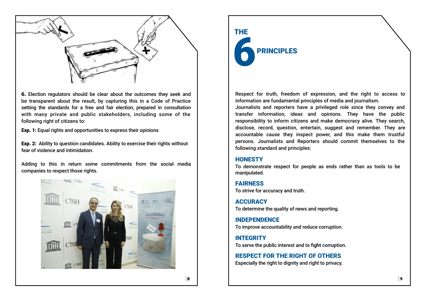

6. Election regulators should be clear about the outcomes they seek and be transparent about the result, by capturing this in a Code of Practice setting the standards for a free and fair election, prepared in consultation with many private and public stakeholders, including some of the following right of citizens to:

Exp. 1: Equal rights and opportunities to express their opinions

Exp. 2: Ability to question candidates. Ability to exercise their rights without fear of violence and intimidation.

Adding to this in return some commitments from the social media companies to respect those rights.



**ACCURACY** To determine the quality of news and reporting.

# THE **PRINCIPLES**

Respect for truth, freedom of expression, and the right to access to information are fundamental principles of media and journalism. Journalists and reporters have a privileged role since they convey and transfer information, ideas and opinions. They have the public responsibility to inform citizens and make democracy alive. They search, disclose, record, question, entertain, suggest and remember. They are accountable cause they inspect power, and this make them trustful persons. Journalists and Reporters should commit themselves to the following standard and principles:

## **HONESTY**

To demonstrate respect for people as ends rather than as tools to be manipulated.

## FAIRNESS

To strive for accuracy and truth.

INDEPENDENCE To improve accountability and reduce corruption.

INTEGRITY

To serve the public interest and to fight corruption.

RESPECT FOR THE RIGHT OF OTHERS Especially the right to dignity and right to privacy.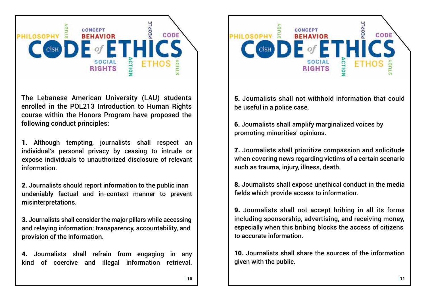

The Lebanese American University (LAU) students enrolled in the POL213 Introduction to Human Rights course within the Honors Program have proposed the following conduct principles:

1. Although tempting, journalists shall respect an individual's personal privacy by ceasing to intrude or expose individuals to unauthorized disclosure of relevant information.

2. Journalists should report information to the public inan undeniably factual and in-context manner to prevent misinterpretations.

3. Journalists shall consider the major pillars while accessing and relaying information: transparency, accountability, and provision of the information.

4. Journalists shall refrain from engaging in any kind of coercive and illegal information retrieval.



5. Journalists shall not withhold information that could be useful in a police case.

6. Journalists shall amplify marginalized voices by promoting minorities' opinions.

7. Journalists shall prioritize compassion and solicitude when covering news regarding victims of a certain scenario such as trauma, injury, illness, death.

8. Journalists shall expose unethical conduct in the media fields which provide access to information.

9. Journalists shall not accept bribing in all its forms including sponsorship, advertising, and receiving money, especially when this bribing blocks the access of citizens to accurate information.

10. Journalists shall share the sources of the information given with the public.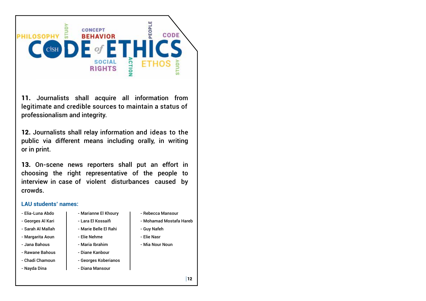

11. Journalists shall acquire all information from legitimate and credible sources to maintain a status of professionalism and integrity.

12. Journalists shall relay information and ideas to the public via different means including orally, in writing or in print.

13. On-scene news reporters shall put an effort in choosing the right representative of the people to interview in case of violent disturbances caused by crowds.

- Elia-Luna Abdo
- Georges Al Kari
- Sarah Al Mallah
- Margarita Aoun
- Jana Bahous
- Rawane Bahous
- Chadi Chamoun
- Nayda Dina

## **LAU students' names:**

- Marianne El Khoury
	- Lara El Kossaifi
	- Marie Belle El Rahi
	- Elie Nehme
	- Maria Ibrahim
	- Diane Kanbour
	- Georges Koberianos
- Diana Mansour
- Rebecca Mansour
- Mohamad Mostafa Hareb
- Guy Nafeh
- Elie Nasr
- Mia Nour Noun

 $|12\rangle$